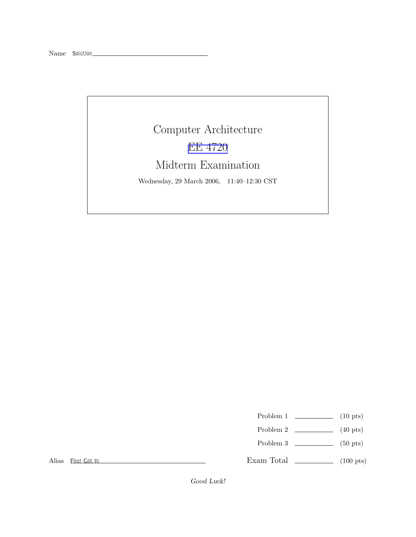## Computer Architecture EE [4720](http://www.ece.lsu.edu/ee4720/) Midterm Examination

Wednesday, 29 March 2006, 11:40–12:30 CST

- Problem 1  $\qquad \qquad$  (10 pts)
- Problem 2  $\qquad \qquad$  (40 pts)
- Problem 3  $\qquad \qquad$  (50 pts)

Alias Four Got In

Exam Total \_\_\_\_\_\_\_\_\_\_\_\_\_ (100 pts)

Good Luck!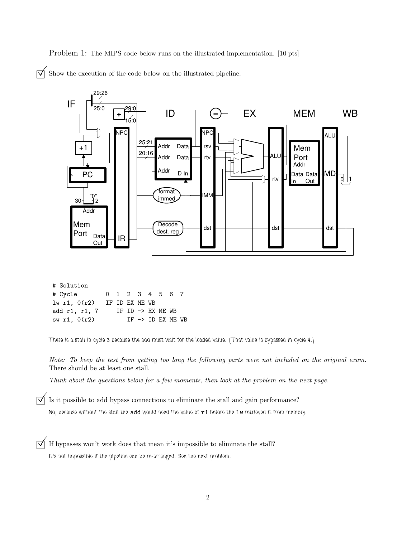Problem 1: The MIPS code below runs on the illustrated implementation. [10 pts]

 $\triangledown$  Show the execution of the code below on the illustrated pipeline.



| $1w$ r1, $0(r2)$ IF ID EX ME WB |  |                              |  |  |
|---------------------------------|--|------------------------------|--|--|
| add r1, r1, 7                   |  | IF ID -> EX ME WB            |  |  |
| sw r1, 0(r2)                    |  | IF $\rightarrow$ ID EX ME WB |  |  |

There is a stall in cycle 3 because the add must wait for the loaded value. (That value is bypassed in cycle 4.)

Note: To keep the test from getting too long the following parts were not included on the original exam. There should be at least one stall.

Think about the questions below for a few moments, then look at the problem on the next page.

 $\triangledown$  Is it possible to add bypass connections to eliminate the stall and gain performance?

No, because without the stall the add would need the value of r1 before the lw retrieved it from memory.

 $\overrightarrow{\mathsf{q}}$  If bypasses won't work does that mean it's impossible to eliminate the stall? It's not impossible if the pipeline can be re-arranged. See the next problem.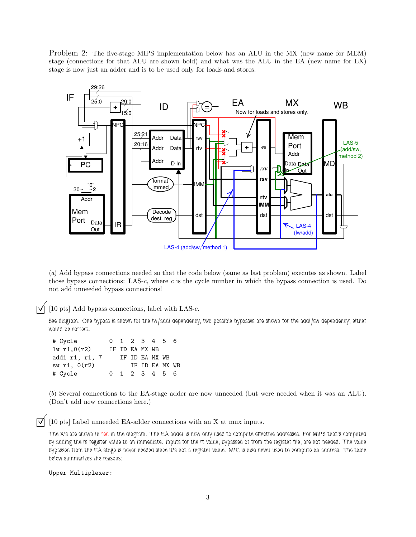Problem 2: The five-stage MIPS implementation below has an ALU in the MX (new name for MEM) stage (connections for that ALU are shown bold) and what was the ALU in the EA (new name for EX) stage is now just an adder and is to be used only for loads and stores.



(a) Add bypass connections needed so that the code below (same as last problem) executes as shown. Label those bypass connections: LAS-c, where  $c$  is the cycle number in which the bypass connection is used. Do not add unneeded bypass connections!

 $\triangledown$  [10 pts] Add bypass connections, label with LAS-c.

See diagram. One bypass is shown for the lw/addi dependency, two possible bypasses are shown for the addi/sw dependency; either would be correct.

| # Cycle        |        |  |                | 0 1 2 3 4 5 6  |  |
|----------------|--------|--|----------------|----------------|--|
| lw r1,0(r2)    |        |  | TF TD FA MX WB |                |  |
| addi r1, r1, 7 |        |  |                | IF ID EA MX WB |  |
| sw r1, O(r2)   |        |  |                | TF TD FA MX WB |  |
| # Cycle        | $\cap$ |  |                | 1 2 3 4 5 6    |  |

(b) Several connections to the EA-stage adder are now unneeded (but were needed when it was an ALU). (Don't add new connections here.)

 $\triangledown$  [10 pts] Label unneeded EA-adder connections with an X at mux inputs.

The X's are shown in red in the diagram. The EA adder is now only used to compute effective addresses. For MIPS that's computed by adding the rs register value to an immediate. Inputs for the rt value, bypassed or from the register file, are not needed. The value bypassed from the EA stage is never needed since it's not a register value. NPC is also never used to compute an address. The table below summarizes the reasons:

Upper Multiplexer: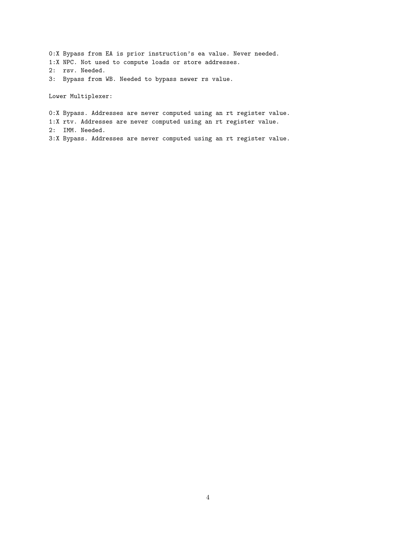0:X Bypass from EA is prior instruction's ea value. Never needed. 1:X NPC. Not used to compute loads or store addresses. 2: rsv. Needed. 3: Bypass from WB. Needed to bypass newer rs value.

Lower Multiplexer:

0:X Bypass. Addresses are never computed using an rt register value. 1:X rtv. Addresses are never computed using an rt register value. 2: IMM. Needed. 3:X Bypass. Addresses are never computed using an rt register value.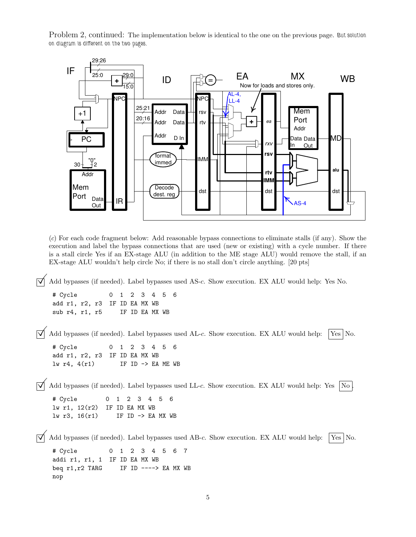Problem 2, continued: The implementation below is identical to the one on the previous page. But solution on diagram is different on the two pages.



(c) For each code fragment below: Add reasonable bypass connections to eliminate stalls (if any). Show the execution and label the bypass connections that are used (new or existing) with a cycle number. If there is a stall circle Yes if an EX-stage ALU (in addition to the ME stage ALU) would remove the stall, if an EX-stage ALU wouldn't help circle No; if there is no stall don't circle anything. [20 pts]

 $\Box$  Add bypasses (if needed). Label bypasses used AS-c. Show execution. EX ALU would help: Yes No.

# Cycle 0 1 2 3 4 5 6 add r1, r2, r3 IF ID EA MX WB sub r4, r1, r5 IF ID EA MX WB

Add bypasses (if needed). Label bypasses used AL-c. Show execution. EX ALU would help:  $\sqrt{\text{Yes}}$  No. # Cycle 0 1 2 3 4 5 6 add r1, r2, r3 IF ID EA MX WB  $lw$  r4,  $4(r1)$  IF ID  $\rightarrow$  EA ME WB  $\overrightarrow{V}$  Add bypasses (if needed). Label bypasses used LL-c. Show execution. EX ALU would help: Yes  $\overrightarrow{No}$ .

# Cycle 0 1 2 3 4 5 6 lw r1, 12(r2) IF ID EA MX WB lw r3, 16(r1) IF ID -> EA MX WB

 $\overrightarrow{v}$  Add bypasses (if needed). Label bypasses used AB-c. Show execution. EX ALU would help: [Yes] No.

# Cycle 0 1 2 3 4 5 6 7 addi r1, r1, 1 IF ID EA MX WB beq r1, r2 TARG IF ID ----> EA MX WB nop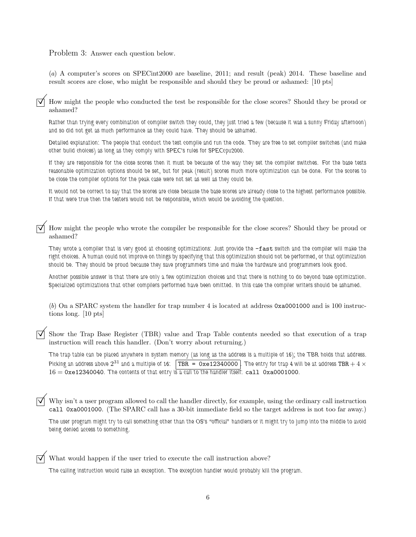## Problem 3: Answer each question below.

(a) A computer's scores on SPECint2000 are baseline, 2011; and result (peak) 2014. These baseline and result scores are close, who might be responsible and should they be proud or ashamed: [10 pts]

© How might the people who conducted the test be responsible for the close scores? Should they be proud or ashamed?

Rather than trying every combination of compiler switch they could, they just tried a few (because it was a sunny Friday afternoon) and so did not get as much performance as they could have. They should be ashamed.

Detailed explanation: The people that conduct the test compile and run the code. They are free to set compiler switches (and make other build choices) as long as they comply with SPEC's rules for SPECcpu2000.

If they are responsible for the close scores then it must be because of the way they set the compiler switches. For the base tests reasonable optimization options should be set, but for peak (result) scores much more optimization can be done. For the scores to be close the compiler options for the peak case were not set as well as they could be.

It would not be correct to say that the scores are close because the base scores are already close to the highest performance possible. If that were true then the testers would not be responsible, which would be avoiding the question.

© How might the people who wrote the compiler be responsible for the close scores? Should they be proud or ashamed?

They wrote a compiler that is very good at choosing optimizations: Just provide the -fast switch and the compiler will make the right choices. A human could not improve on things by specifying that this optimization should not be performed, or that optimization should be. They should be proud because they save programmers time and make the hardware and programmers look good.

Another possible answer is that there are only a few optimization choices and that there is nothing to do beyond base optimization. Specialized optimizations that other compilers performed have been omitted. In this case the compiler writers should be ashamed.

(b) On a SPARC system the handler for trap number 4 is located at address 0xa0001000 and is 100 instructions long. [10 pts]

©Show the Trap Base Register (TBR) value and Trap Table contents needed so that execution of <sup>a</sup> trap instruction will reach this handler. (Don't worry about returning.)

The trap table can be placed anywhere in system memory (as long as the address is a multiple of 16); the TBR holds that address. Picking an address above  $2^{31}$  and a multiple of 16:  $\boxed{\texttt{TBR} = \texttt{Oxe12340000}}$ . The entry for trap 4 will be at address  $\texttt{TBR}+4\times$  $16 = 0xe12340040$ . The contents of that entry is a call to the handler itself: call 0xa0001000.

Why isn't a user program allowed to call the handler directly, for example, using the ordinary call instruction call 0xa0001000. (The SPARC call has a 30-bit immediate field so the target address is not too far away.)

The user program might try to call something other than the OS's "official" handlers or it might try to jump into the middle to avoid being denied access to something.

What would happen if the user tried to execute the call instruction above?

The calling instruction would raise an exception. The exception handler would probably kill the program.